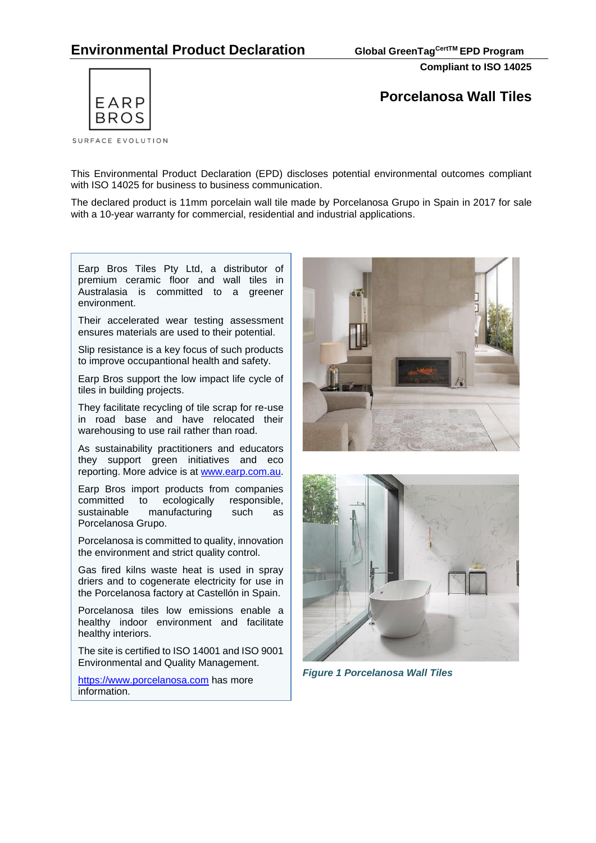# **Environmental Product Declaration Global GreenTagCertTM EPD Program**

**Compliant to ISO 14025**



**Porcelanosa Wall Tiles**

This Environmental Product Declaration (EPD) discloses potential environmental outcomes compliant with ISO 14025 for business to business communication.

The declared product is 11mm porcelain wall tile made by Porcelanosa Grupo in Spain in 2017 for sale with a 10-year warranty for commercial, residential and industrial applications.

Earp Bros Tiles Pty Ltd, a distributor of premium ceramic floor and wall tiles in Australasia is committed to a greener environment.

Their accelerated wear testing assessment ensures materials are used to their potential.

Slip resistance is a key focus of such products to improve occupantional health and safety.

Earp Bros support the low impact life cycle of tiles in building projects.

They facilitate recycling of tile scrap for re-use in road base and have relocated their warehousing to use rail rather than road.

As sustainability practitioners and educators they support [green initiatives](http://www.earp.com.au/ecotech.php?page=green) and eco reporting. More advice is at [www.earp.com.au.](http://www.earp.com.au/)

Earp Bros import products from companies committed to ecologically responsible, sustainable manufacturing such as Porcelanosa Grupo.

Porcelanosa is committed to quality, innovation the environment and strict quality control.

Gas fired kilns waste heat is used in spray driers and to cogenerate electricity for use in the Porcelanosa factory at Castellón in Spain.

Porcelanosa tiles low emissions enable a healthy indoor environment and facilitate healthy interiors.

The site is certified to ISO 14001 and ISO 9001 Environmental and Quality Management.

[https://www.porcelanosa.com](https://www.porcelanosa.com/) has more information.





*Figure 1 Porcelanosa Wall Tiles*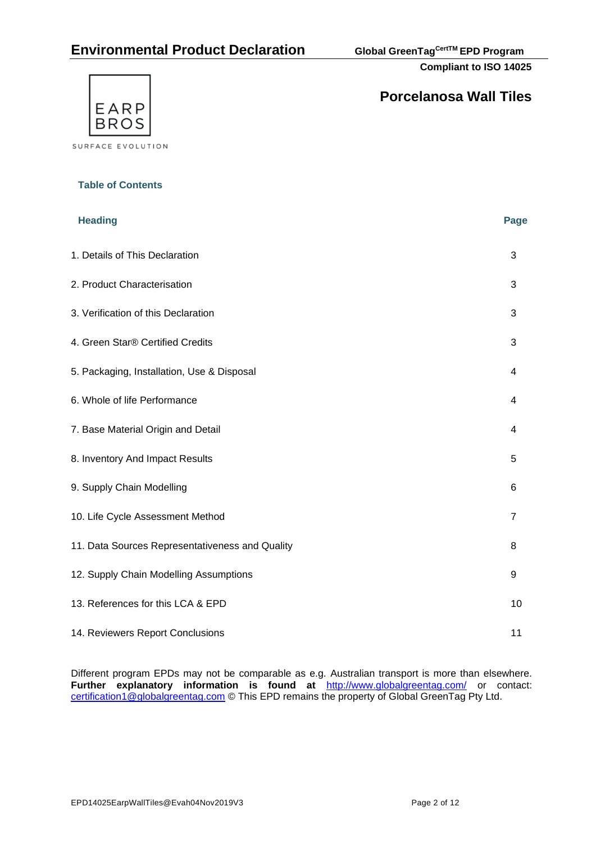# **Environmental Product Declaration Global GreenTagCertTM EPD Program**

**Compliant to ISO 14025**



**Table of Contents**

# **Porcelanosa Wall Tiles**

| <b>Heading</b>                                  | <b>Page</b>    |
|-------------------------------------------------|----------------|
| 1. Details of This Declaration                  | 3              |
| 2. Product Characterisation                     | 3              |
| 3. Verification of this Declaration             | 3              |
| 4. Green Star® Certified Credits                | 3              |
| 5. Packaging, Installation, Use & Disposal      | 4              |
| 6. Whole of life Performance                    | 4              |
| 7. Base Material Origin and Detail              | 4              |
| 8. Inventory And Impact Results                 | 5              |
| 9. Supply Chain Modelling                       | 6              |
| 10. Life Cycle Assessment Method                | $\overline{7}$ |
| 11. Data Sources Representativeness and Quality | 8              |
| 12. Supply Chain Modelling Assumptions          | 9              |
| 13. References for this LCA & EPD               | 10             |
| 14. Reviewers Report Conclusions                | 11             |

Different program EPDs may not be comparable as e.g. Australian transport is more than elsewhere. **Further explanatory information is found at** <http://www.globalgreentag.com/> or contact: [certification1@globalgreentag.com](mailto:certification1@globalgreentag.com) © This EPD remains the property of Global GreenTag Pty Ltd.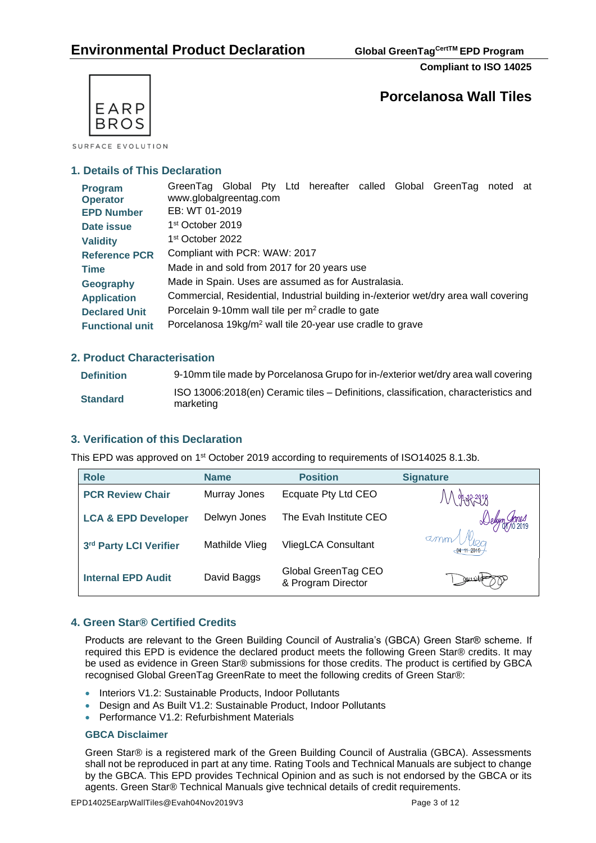**Compliant to ISO 14025**



SURFACE EVOLUTION

### **1. Details of This Declaration**

| Program<br><b>Operator</b> | GreenTag Global Pty Ltd hereafter called Global GreenTag<br>noted at<br>www.globalgreentag.com |
|----------------------------|------------------------------------------------------------------------------------------------|
| <b>EPD Number</b>          | EB: WT 01-2019                                                                                 |
| Date issue                 | 1 <sup>st</sup> October 2019                                                                   |
| <b>Validity</b>            | 1 <sup>st</sup> October 2022                                                                   |
| <b>Reference PCR</b>       | Compliant with PCR: WAW: 2017                                                                  |
| <b>Time</b>                | Made in and sold from 2017 for 20 years use                                                    |
| Geography                  | Made in Spain. Uses are assumed as for Australasia.                                            |
| <b>Application</b>         | Commercial, Residential, Industrial building in-/exterior wet/dry area wall covering           |
| <b>Declared Unit</b>       | Porcelain 9-10mm wall tile per m <sup>2</sup> cradle to gate                                   |
| <b>Functional unit</b>     | Porcelanosa 19kg/m <sup>2</sup> wall tile 20-year use cradle to grave                          |

### **2. Product Characterisation**

| <b>Definition</b> | 9-10mm tile made by Porcelanosa Grupo for in-/exterior wet/dry area wall covering                |
|-------------------|--------------------------------------------------------------------------------------------------|
| <b>Standard</b>   | ISO 13006:2018(en) Ceramic tiles – Definitions, classification, characteristics and<br>marketing |

### **3. Verification of this Declaration**

This EPD was approved on 1<sup>st</sup> October 2019 according to requirements of ISO14025 8.1.3b.

| <b>Role</b>                    | <b>Name</b>    | <b>Position</b>                           | <b>Signature</b>             |
|--------------------------------|----------------|-------------------------------------------|------------------------------|
| <b>PCR Review Chair</b>        | Murray Jones   | Ecquate Pty Ltd CEO                       |                              |
| <b>LCA &amp; EPD Developer</b> | Delwyn Jones   | The Evah Institute CEO                    |                              |
| 3rd Party LCI Verifier         | Mathilde Vlieg | <b>VliegLCA Consultant</b>                | $\sigma$ mm<br>$-04$ 11 2019 |
| <b>Internal EPD Audit</b>      | David Baggs    | Global GreenTag CEO<br>& Program Director |                              |

### **4. Green Star® Certified Credits**

Products are relevant to the Green Building Council of Australia's (GBCA) Green Star® scheme. If required this EPD is evidence the declared product meets the following Green Star® credits. It may be used as evidence in Green Star® submissions for those credits. The product is certified by GBCA recognised Global GreenTag GreenRate to meet the following credits of Green Star®:

- Interiors V1.2: Sustainable Products, Indoor Pollutants
- Design and As Built V1.2: Sustainable Product, Indoor Pollutants
- Performance V1.2: Refurbishment Materials

### **[GBCA Disclaimer](http://www.ecospecifier.com.au/rating-tools/gbca-disclaimer/gbca-disclaimer.aspx)**

Green Star® is a registered mark of the Green Building Council of Australia (GBCA). Assessments shall not be reproduced in part at any time. Rating Tools and Technical Manuals are subject to change by the GBCA. This EPD provides Technical Opinion and as such is not endorsed by the GBCA or its agents. Green Star® Technical Manuals give technical details of credit requirements.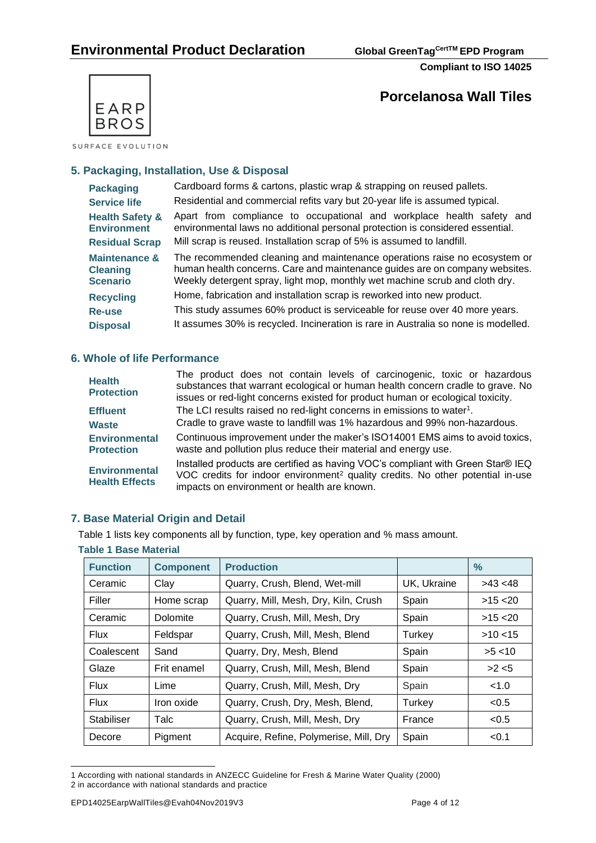



SURFACE EVOLUTION

### **5. Packaging, Installation, Use & Disposal**

| <b>Packaging</b>                                                          | Cardboard forms & cartons, plastic wrap & strapping on reused pallets.                                                                                                                                                                  |  |  |  |  |  |  |  |
|---------------------------------------------------------------------------|-----------------------------------------------------------------------------------------------------------------------------------------------------------------------------------------------------------------------------------------|--|--|--|--|--|--|--|
| <b>Service life</b>                                                       | Residential and commercial refits vary but 20-year life is assumed typical.                                                                                                                                                             |  |  |  |  |  |  |  |
| <b>Health Safety &amp;</b><br><b>Environment</b><br><b>Residual Scrap</b> | Apart from compliance to occupational and workplace health safety and<br>environmental laws no additional personal protection is considered essential.<br>Mill scrap is reused. Installation scrap of 5% is assumed to landfill.        |  |  |  |  |  |  |  |
| <b>Maintenance &amp;</b><br><b>Cleaning</b><br><b>Scenario</b>            | The recommended cleaning and maintenance operations raise no ecosystem or<br>human health concerns. Care and maintenance guides are on company websites.<br>Weekly detergent spray, light mop, monthly wet machine scrub and cloth dry. |  |  |  |  |  |  |  |
| <b>Recycling</b>                                                          | Home, fabrication and installation scrap is reworked into new product.                                                                                                                                                                  |  |  |  |  |  |  |  |
| <b>Re-use</b>                                                             | This study assumes 60% product is serviceable for reuse over 40 more years.                                                                                                                                                             |  |  |  |  |  |  |  |
| <b>Disposal</b>                                                           | It assumes 30% is recycled. Incineration is rare in Australia so none is modelled.                                                                                                                                                      |  |  |  |  |  |  |  |

### **6. Whole of life Performance**

| <b>Health</b><br><b>Protection</b>            | The product does not contain levels of carcinogenic, toxic or hazardous<br>substances that warrant ecological or human health concern cradle to grave. No<br>issues or red-light concerns existed for product human or ecological toxicity. |
|-----------------------------------------------|---------------------------------------------------------------------------------------------------------------------------------------------------------------------------------------------------------------------------------------------|
| <b>Effluent</b>                               | The LCI results raised no red-light concerns in emissions to water <sup>1</sup> .                                                                                                                                                           |
| <b>Waste</b>                                  | Cradle to grave waste to landfill was 1% hazardous and 99% non-hazardous.                                                                                                                                                                   |
| <b>Environmental</b><br><b>Protection</b>     | Continuous improvement under the maker's ISO14001 EMS aims to avoid toxics,<br>waste and pollution plus reduce their material and energy use.                                                                                               |
| <b>Environmental</b><br><b>Health Effects</b> | Installed products are certified as having VOC's compliant with Green Star® IEQ<br>VOC credits for indoor environment <sup>2</sup> quality credits. No other potential in-use<br>impacts on environment or health are known.                |

## **7. Base Material Origin and Detail**

Table 1 lists key components all by function, type, key operation and % mass amount.

| <b>Function</b> | <b>Component</b> | <b>Production</b>                      |             | ℅          |  |  |  |  |
|-----------------|------------------|----------------------------------------|-------------|------------|--|--|--|--|
| Ceramic         | Clay             | Quarry, Crush, Blend, Wet-mill         | UK, Ukraine | $>43$ <48  |  |  |  |  |
| Filler          | Home scrap       | Quarry, Mill, Mesh, Dry, Kiln, Crush   | Spain       | $>15$ < 20 |  |  |  |  |
| Ceramic         | Dolomite         | Quarry, Crush, Mill, Mesh, Dry         | Spain       | $>15$ < 20 |  |  |  |  |
| <b>Flux</b>     | Feldspar         | Quarry, Crush, Mill, Mesh, Blend       | Turkey      | $>10$ < 15 |  |  |  |  |
| Coalescent      | Sand             | Quarry, Dry, Mesh, Blend               | Spain       | >5 < 10    |  |  |  |  |
| Glaze           | Frit enamel      | Quarry, Crush, Mill, Mesh, Blend       | Spain       | >2 < 5     |  |  |  |  |
| <b>Flux</b>     | Lime             | Quarry, Crush, Mill, Mesh, Dry         | Spain       | < 1.0      |  |  |  |  |
| <b>Flux</b>     | Iron oxide       | Quarry, Crush, Dry, Mesh, Blend,       | Turkey      | < 0.5      |  |  |  |  |
| Stabiliser      | Talc             | Quarry, Crush, Mill, Mesh, Dry         | France      | < 0.5      |  |  |  |  |
| Decore          | Pigment          | Acquire, Refine, Polymerise, Mill, Dry | Spain       | < 0.1      |  |  |  |  |

## **Table 1 Base Material**

<sup>1</sup> According with national standards in ANZECC Guideline for Fresh & Marine Water Quality (2000) 2 in accordance with national standards and practice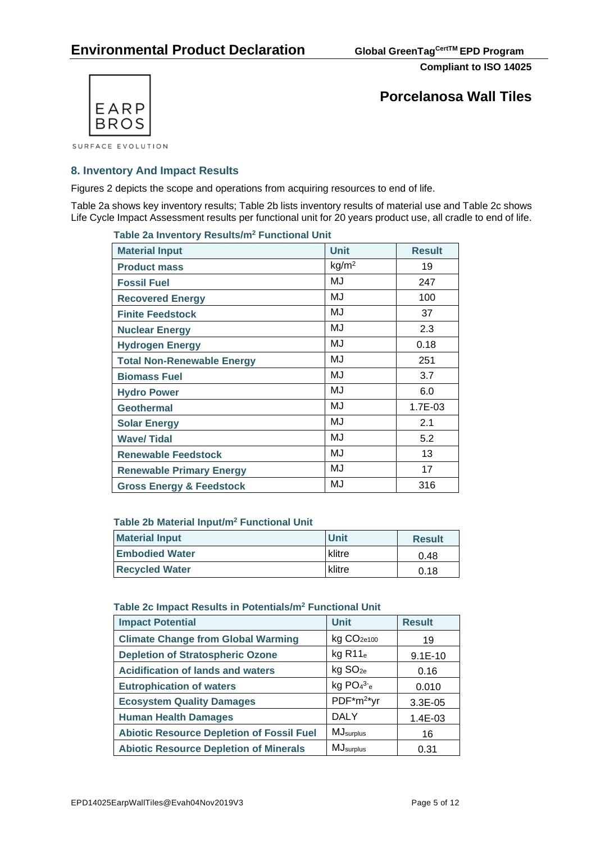

**Porcelanosa Wall Tiles**

**8. Inventory And Impact Results**

Figures 2 depicts the scope and operations from acquiring resources to end of life.

Table 2a shows key inventory results; Table 2b lists inventory results of material use and Table 2c shows Life Cycle Impact Assessment results per functional unit for 20 years product use, all cradle to end of life.

| Table za inventory Results/III <sup>-</sup> Functional Unit |                   |               |  |  |  |  |  |
|-------------------------------------------------------------|-------------------|---------------|--|--|--|--|--|
| <b>Material Input</b>                                       | <b>Unit</b>       | <b>Result</b> |  |  |  |  |  |
| <b>Product mass</b>                                         | kg/m <sup>2</sup> | 19            |  |  |  |  |  |
| <b>Fossil Fuel</b>                                          | MJ                | 247           |  |  |  |  |  |
| <b>Recovered Energy</b>                                     | MJ                | 100           |  |  |  |  |  |
| <b>Finite Feedstock</b>                                     | MJ                | 37            |  |  |  |  |  |
| <b>Nuclear Energy</b>                                       | MJ                | 2.3           |  |  |  |  |  |
| <b>Hydrogen Energy</b>                                      | MJ                | 0.18          |  |  |  |  |  |
| <b>Total Non-Renewable Energy</b>                           | MJ                | 251           |  |  |  |  |  |
| <b>Biomass Fuel</b>                                         | MJ                | 3.7           |  |  |  |  |  |
| <b>Hydro Power</b>                                          | MJ                | 6.0           |  |  |  |  |  |
| <b>Geothermal</b>                                           | MJ                | 1.7E-03       |  |  |  |  |  |
| <b>Solar Energy</b>                                         | MJ                | 2.1           |  |  |  |  |  |
| <b>Wave/Tidal</b>                                           | MJ                | 5.2           |  |  |  |  |  |
| <b>Renewable Feedstock</b>                                  | MJ                | 13            |  |  |  |  |  |
| <b>Renewable Primary Energy</b>                             | MJ                | 17            |  |  |  |  |  |
| <b>Gross Energy &amp; Feedstock</b>                         | MJ                | 316           |  |  |  |  |  |

## **Table 2a Inventory Results/m<sup>2</sup> Functional Unit**

### **Table 2b Material Input/m<sup>2</sup> Functional Unit**

| <b>Material Input</b> | <b>Unit</b> | <b>Result</b> |
|-----------------------|-------------|---------------|
| <b>Embodied Water</b> | klitre      | 0.48          |
| <b>Recycled Water</b> | klitre      | 0.18          |

#### **Table 2c Impact Results in Potentials/m<sup>2</sup> Functional Unit**

| <b>Impact Potential</b>                          | <b>Unit</b>               | <b>Result</b> |
|--------------------------------------------------|---------------------------|---------------|
| <b>Climate Change from Global Warming</b>        | kg CO <sub>2e100</sub>    | 19            |
| <b>Depletion of Stratospheric Ozone</b>          | $kg$ R <sub>11</sub> $_e$ | $9.1E-10$     |
| <b>Acidification of lands and waters</b>         | kg SO <sub>2e</sub>       | 0.16          |
| <b>Eutrophication of waters</b>                  | kg $PO43-e$               | 0.010         |
| <b>Ecosystem Quality Damages</b>                 | PDF*m <sup>2*</sup> yr    | $3.3E - 0.5$  |
| <b>Human Health Damages</b>                      | <b>DALY</b>               | $1.4E-03$     |
| <b>Abiotic Resource Depletion of Fossil Fuel</b> | <b>MJ</b> surplus         | 16            |
| <b>Abiotic Resource Depletion of Minerals</b>    | <b>MJ</b> surplus         | 0.31          |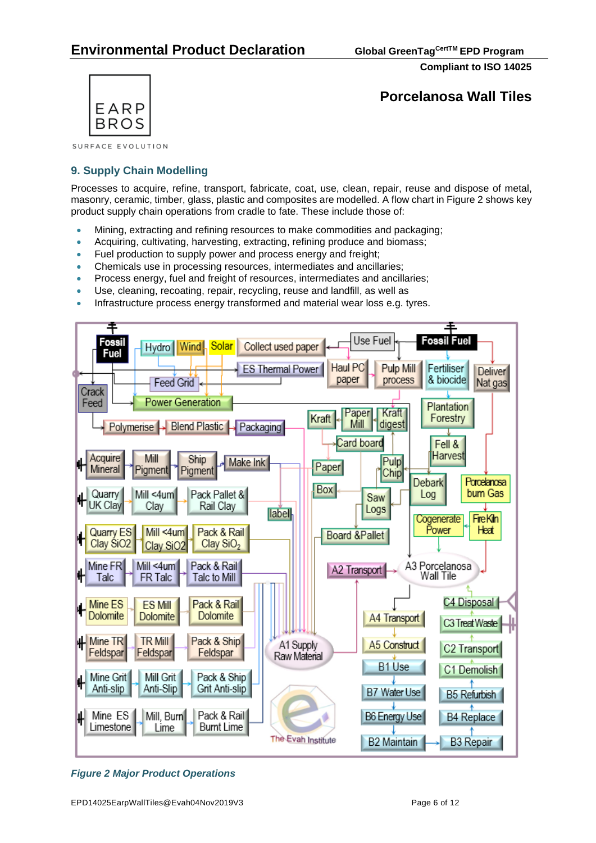

**Porcelanosa Wall Tiles**

SURFACE EVOLUTION

## **9. Supply Chain Modelling**

Processes to acquire, refine, transport, fabricate, coat, use, clean, repair, reuse and dispose of metal, masonry, ceramic, timber, glass, plastic and composites are modelled. A flow chart in Figure 2 shows key product supply chain operations from cradle to fate. These include those of:

- Mining, extracting and refining resources to make commodities and packaging;
- Acquiring, cultivating, harvesting, extracting, refining produce and biomass;
- Fuel production to supply power and process energy and freight;
- Chemicals use in processing resources, intermediates and ancillaries;
- Process energy, fuel and freight of resources, intermediates and ancillaries;
- Use, cleaning, recoating, repair, recycling, reuse and landfill, as well as
- Infrastructure process energy transformed and material wear loss e.g. tyres.



*Figure 2 Major Product Operations*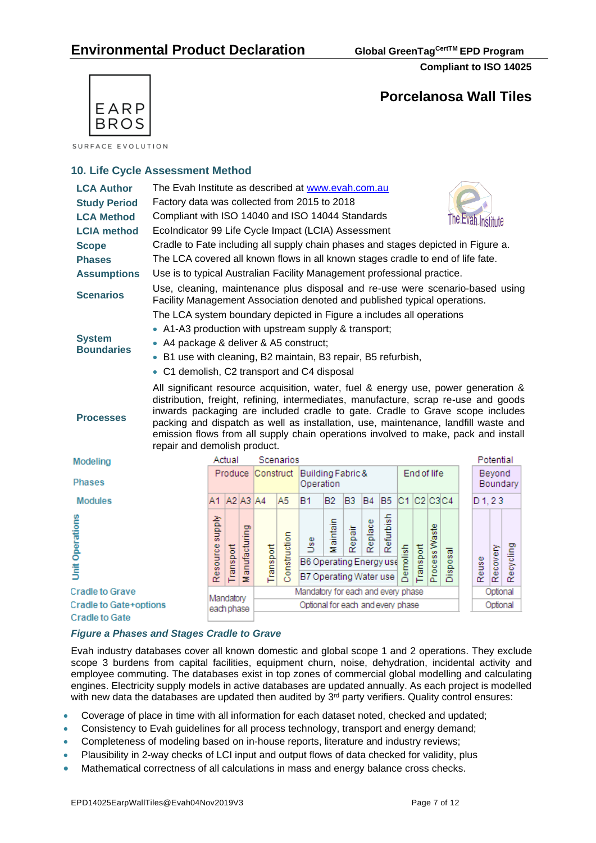

# **Porcelanosa Wall Tiles**

SURFACE EVOLUTION

## **10. Life Cycle Assessment Method**

| <b>LCA Author</b><br><b>Study Period</b><br><b>LCA Method</b><br><b>LCIA method</b><br><b>Scope</b><br><b>Phases</b><br><b>Assumptions</b><br><b>Scenarios</b><br><b>System</b> | The Evah Institute as described at www.evah.com.au<br>Factory data was collected from 2015 to 2018<br>Compliant with ISO 14040 and ISO 14044 Standards<br>The Evan Institute<br>EcoIndicator 99 Life Cycle Impact (LCIA) Assessment<br>Cradle to Fate including all supply chain phases and stages depicted in Figure a.<br>The LCA covered all known flows in all known stages cradle to end of life fate.<br>Use is to typical Australian Facility Management professional practice.<br>Use, cleaning, maintenance plus disposal and re-use were scenario-based using<br>Facility Management Association denoted and published typical operations.<br>The LCA system boundary depicted in Figure a includes all operations<br>• A1-A3 production with upstream supply & transport;<br>• A4 package & deliver & A5 construct; |                                                 |                   |           |                   |                                                         |                                    |           |                |                |                 |            |               |          |       |           |           |          |
|---------------------------------------------------------------------------------------------------------------------------------------------------------------------------------|--------------------------------------------------------------------------------------------------------------------------------------------------------------------------------------------------------------------------------------------------------------------------------------------------------------------------------------------------------------------------------------------------------------------------------------------------------------------------------------------------------------------------------------------------------------------------------------------------------------------------------------------------------------------------------------------------------------------------------------------------------------------------------------------------------------------------------|-------------------------------------------------|-------------------|-----------|-------------------|---------------------------------------------------------|------------------------------------|-----------|----------------|----------------|-----------------|------------|---------------|----------|-------|-----------|-----------|----------|
| <b>Boundaries</b>                                                                                                                                                               | • B1 use with cleaning, B2 maintain, B3 repair, B5 refurbish,<br>• C1 demolish, C2 transport and C4 disposal                                                                                                                                                                                                                                                                                                                                                                                                                                                                                                                                                                                                                                                                                                                   |                                                 |                   |           |                   |                                                         |                                    |           |                |                |                 |            |               |          |       |           |           |          |
| <b>Processes</b>                                                                                                                                                                | All significant resource acquisition, water, fuel & energy use, power generation &<br>distribution, freight, refining, intermediates, manufacture, scrap re-use and goods<br>inwards packaging are included cradle to gate. Cradle to Grave scope includes<br>packing and dispatch as well as installation, use, maintenance, landfill waste and<br>emission flows from all supply chain operations involved to make, pack and install<br>repair and demolish product.                                                                                                                                                                                                                                                                                                                                                         |                                                 |                   |           |                   |                                                         |                                    |           |                |                |                 |            |               |          |       |           |           |          |
| Modeling                                                                                                                                                                        |                                                                                                                                                                                                                                                                                                                                                                                                                                                                                                                                                                                                                                                                                                                                                                                                                                |                                                 | Actual            |           |                   | Scenarios                                               |                                    |           |                |                |                 |            |               |          |       |           | Potential |          |
| <b>Phases</b>                                                                                                                                                                   |                                                                                                                                                                                                                                                                                                                                                                                                                                                                                                                                                                                                                                                                                                                                                                                                                                |                                                 |                   |           | Produce Construct |                                                         | Building Fabric &<br>Operation     |           |                |                |                 |            | End of life   |          |       |           | Beyond    | Boundary |
| <b>Modules</b>                                                                                                                                                                  |                                                                                                                                                                                                                                                                                                                                                                                                                                                                                                                                                                                                                                                                                                                                                                                                                                | A1                                              | A2 A3 A4          |           |                   | A5                                                      | B1                                 | <b>B2</b> | B <sub>3</sub> | B <sub>4</sub> | B <sub>5</sub>  | C1 C2 C3C4 |               |          |       | $D_1, 23$ |           |          |
| <b>Unit Operations</b>                                                                                                                                                          | Resource supply                                                                                                                                                                                                                                                                                                                                                                                                                                                                                                                                                                                                                                                                                                                                                                                                                | Transport                                       | anufacturing<br>Σ | Transport | Construction      | 5e<br>B6 Operating Energy use<br>B7 Operating Water use | Maintain                           | Repair    | Replace        | Refurbish      | <b>Demolish</b> | Transport  | Process Waste | Disposal | Reuse | Recovery  | Recycling |          |
| <b>Cradle to Grave</b>                                                                                                                                                          |                                                                                                                                                                                                                                                                                                                                                                                                                                                                                                                                                                                                                                                                                                                                                                                                                                | Mandatory                                       |                   |           |                   |                                                         | Mandatory for each and every phase |           |                |                |                 |            |               |          |       |           | Optional  |          |
| Cradle to Gate+options<br><b>Cradle to Gate</b>                                                                                                                                 |                                                                                                                                                                                                                                                                                                                                                                                                                                                                                                                                                                                                                                                                                                                                                                                                                                | Optional for each and every phase<br>each phase |                   |           |                   |                                                         |                                    | Optional  |                |                |                 |            |               |          |       |           |           |          |

### *Figure a Phases and Stages Cradle to Grave*

Evah industry databases cover all known domestic and global scope 1 and 2 operations. They exclude scope 3 burdens from capital facilities, equipment churn, noise, dehydration, incidental activity and employee commuting. The databases exist in top zones of commercial global modelling and calculating engines. Electricity supply models in active databases are updated annually. As each project is modelled with new data the databases are updated then audited by  $3<sup>rd</sup>$  party verifiers. Quality control ensures:

- Coverage of place in time with all information for each dataset noted, checked and updated;
- Consistency to Evah guidelines for all process technology, transport and energy demand;
- Completeness of modeling based on in-house reports, literature and industry reviews;
- Plausibility in 2-way checks of LCI input and output flows of data checked for validity, plus
- Mathematical correctness of all calculations in mass and energy balance cross checks.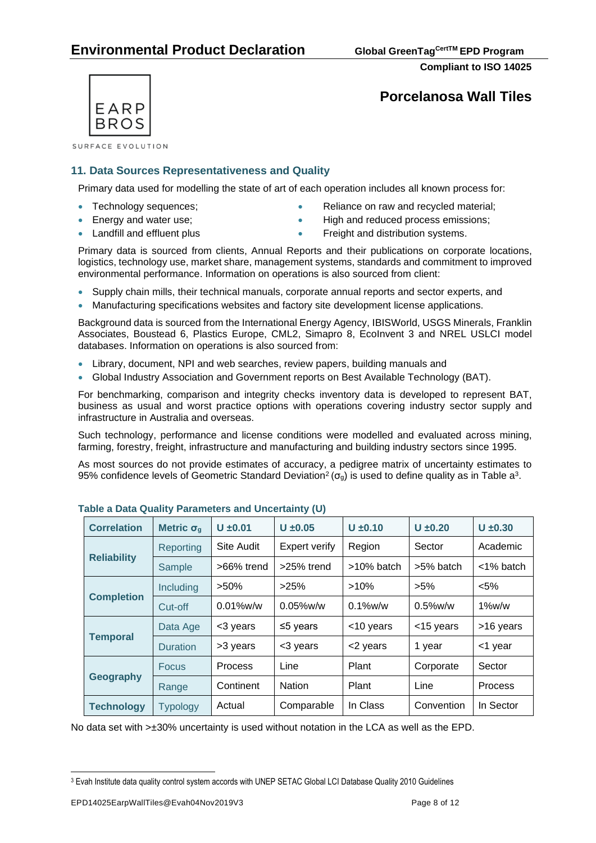**Compliant to ISO 14025**



SURFACE EVOLUTION

### **11. Data Sources Representativeness and Quality**

Primary data used for modelling the state of art of each operation includes all known process for:

- 
- 
- Technology sequences; • Reliance on raw and recycled material;
- Energy and water use; example and reduced process emissions;
- 
- Landfill and effluent plus  **Freight and distribution systems.**

Primary data is sourced from clients, Annual Reports and their publications on corporate locations, logistics, technology use, market share, management systems, standards and commitment to improved environmental performance. Information on operations is also sourced from client:

- Supply chain mills, their technical manuals, corporate annual reports and sector experts, and
- Manufacturing specifications websites and factory site development license applications.

Background data is sourced from the International Energy Agency, IBISWorld, USGS Minerals, Franklin Associates, Boustead 6, Plastics Europe, CML2, Simapro 8, EcoInvent 3 and NREL USLCI model databases. Information on operations is also sourced from:

- Library, document, NPI and web searches, review papers, building manuals and
- Global Industry Association and Government reports on Best Available Technology (BAT).

For benchmarking, comparison and integrity checks inventory data is developed to represent BAT, business as usual and worst practice options with operations covering industry sector supply and infrastructure in Australia and overseas.

Such technology, performance and license conditions were modelled and evaluated across mining, farming, forestry, freight, infrastructure and manufacturing and building industry sectors since 1995.

As most sources do not provide estimates of accuracy, a pedigree matrix of uncertainty estimates to 95% confidence levels of Geometric Standard Deviation<sup>2</sup> ( $\sigma_g$ ) is used to define quality as in Table a<sup>3</sup>.

| <b>Correlation</b> | Metric $\sigma_q$ | $U \pm 0.01$      | $U \pm 0.05$         | $U \pm 0.10$ | $U \pm 0.20$ | $U \pm 0.30$ |  |
|--------------------|-------------------|-------------------|----------------------|--------------|--------------|--------------|--|
|                    | Reporting         | <b>Site Audit</b> | <b>Expert verify</b> | Region       | Sector       | Academic     |  |
| <b>Reliability</b> | Sample            | >66% trend        | >25% trend           | >10% batch   | >5% batch    | <1% batch    |  |
|                    | Including         |                   | >25%                 | $>10\%$      | $>5\%$       | $< 5\%$      |  |
| <b>Completion</b>  | Cut-off           | $0.01\%$ w/w      | $0.05\%$ w/w         | $0.1\%$ w/w  | $0.5\%$ w/w  | $1\%$ w/w    |  |
|                    | Data Age          | <3 years          | $\leq$ 5 years       | <10 years    | <15 years    | >16 years    |  |
| <b>Temporal</b>    | <b>Duration</b>   | >3 years          | <3 years             | <2 years     | 1 year       | <1 year      |  |
|                    | <b>Focus</b>      | <b>Process</b>    | Line                 | Plant        | Corporate    | Sector       |  |
| Geography          | Range             | Continent         | <b>Nation</b>        | Plant        | Line         | Process      |  |
| <b>Technology</b>  | <b>Typology</b>   | Actual            | Comparable           | In Class     | Convention   | In Sector    |  |

**Table a Data Quality Parameters and Uncertainty (U)**

No data set with >±30% uncertainty is used without notation in the LCA as well as the EPD.

<sup>3</sup> Evah Institute data quality control system accords with UNEP SETAC Global LCI Database Quality 2010 Guidelines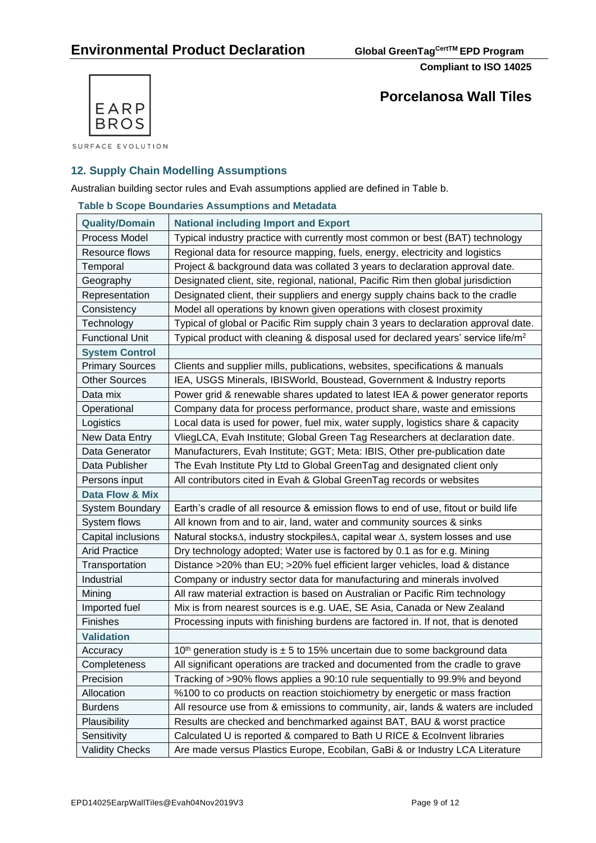

**Porcelanosa Wall Tiles**

SURFACE EVOLUTION

## **12. Supply Chain Modelling Assumptions**

Australian building sector rules and Evah assumptions applied are defined in Table b.

|  | <b>Table b Scope Boundaries Assumptions and Metadata</b> |  |
|--|----------------------------------------------------------|--|
|  |                                                          |  |

| <b>Quality/Domain</b>  | <b>National including Import and Export</b>                                                   |
|------------------------|-----------------------------------------------------------------------------------------------|
| Process Model          | Typical industry practice with currently most common or best (BAT) technology                 |
| Resource flows         | Regional data for resource mapping, fuels, energy, electricity and logistics                  |
| Temporal               | Project & background data was collated 3 years to declaration approval date.                  |
| Geography              | Designated client, site, regional, national, Pacific Rim then global jurisdiction             |
| Representation         | Designated client, their suppliers and energy supply chains back to the cradle                |
| Consistency            | Model all operations by known given operations with closest proximity                         |
| Technology             | Typical of global or Pacific Rim supply chain 3 years to declaration approval date.           |
| <b>Functional Unit</b> | Typical product with cleaning & disposal used for declared years' service life/m <sup>2</sup> |
| <b>System Control</b>  |                                                                                               |
| <b>Primary Sources</b> | Clients and supplier mills, publications, websites, specifications & manuals                  |
| <b>Other Sources</b>   | IEA, USGS Minerals, IBISWorld, Boustead, Government & Industry reports                        |
| Data mix               | Power grid & renewable shares updated to latest IEA & power generator reports                 |
| Operational            | Company data for process performance, product share, waste and emissions                      |
| Logistics              | Local data is used for power, fuel mix, water supply, logistics share & capacity              |
| New Data Entry         | VliegLCA, Evah Institute; Global Green Tag Researchers at declaration date.                   |
| Data Generator         | Manufacturers, Evah Institute; GGT; Meta: IBIS, Other pre-publication date                    |
| Data Publisher         | The Evah Institute Pty Ltd to Global GreenTag and designated client only                      |
| Persons input          | All contributors cited in Evah & Global GreenTag records or websites                          |
| Data Flow & Mix        |                                                                                               |
| <b>System Boundary</b> | Earth's cradle of all resource & emission flows to end of use, fitout or build life           |
| System flows           | All known from and to air, land, water and community sources & sinks                          |
| Capital inclusions     | Natural stocks∆, industry stockpiles∆, capital wear ∆, system losses and use                  |
| <b>Arid Practice</b>   | Dry technology adopted; Water use is factored by 0.1 as for e.g. Mining                       |
| Transportation         | Distance >20% than EU; >20% fuel efficient larger vehicles, load & distance                   |
| Industrial             | Company or industry sector data for manufacturing and minerals involved                       |
| Mining                 | All raw material extraction is based on Australian or Pacific Rim technology                  |
| Imported fuel          | Mix is from nearest sources is e.g. UAE, SE Asia, Canada or New Zealand                       |
| Finishes               | Processing inputs with finishing burdens are factored in. If not, that is denoted             |
| <b>Validation</b>      |                                                                                               |
| Accuracy               | 10 <sup>th</sup> generation study is $\pm$ 5 to 15% uncertain due to some background data     |
| Completeness           | All significant operations are tracked and documented from the cradle to grave                |
| Precision              | Tracking of >90% flows applies a 90:10 rule sequentially to 99.9% and beyond                  |
| Allocation             | %100 to co products on reaction stoichiometry by energetic or mass fraction                   |
| <b>Burdens</b>         | All resource use from & emissions to community, air, lands & waters are included              |
| Plausibility           | Results are checked and benchmarked against BAT, BAU & worst practice                         |
| Sensitivity            | Calculated U is reported & compared to Bath U RICE & Ecolnvent libraries                      |
| <b>Validity Checks</b> | Are made versus Plastics Europe, Ecobilan, GaBi & or Industry LCA Literature                  |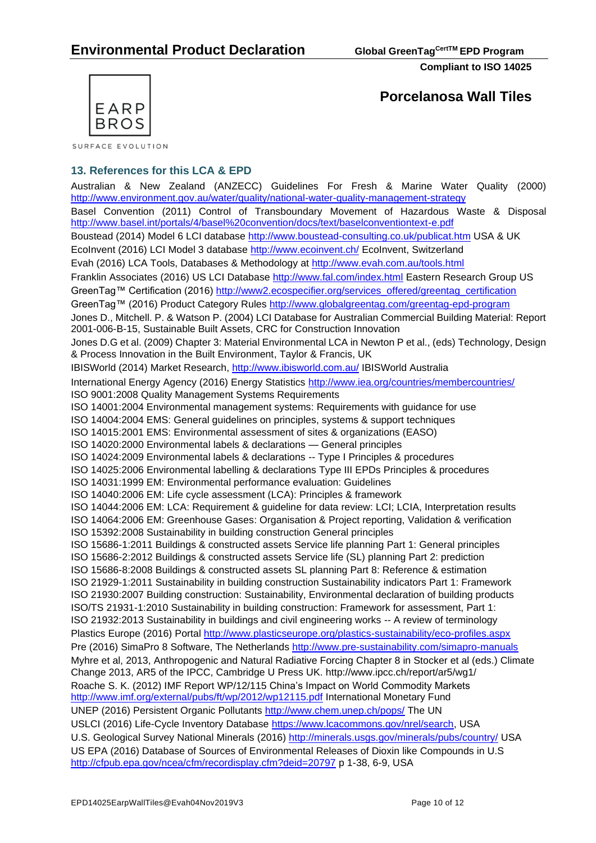

SURFACE EVOLUTION

### **13. References for this LCA & EPD**

Australian & New Zealand [\(ANZECC\) Guidelines For Fresh & Marine Water Quality](http://www.environment.gov.au/topics/water/water-quality/national-water-quality-management-strategy) (2000) <http://www.environment.gov.au/water/quality/national-water-quality-management-strategy> Basel Convention (2011) Control of Transboundary Movement of Hazardous Waste & Disposal <http://www.basel.int/portals/4/basel%20convention/docs/text/baselconventiontext-e.pdf> Boustead (2014) Model 6 LCI database<http://www.boustead-consulting.co.uk/publicat.htm> USA & UK EcoInvent (2016) LCI Model 3 database<http://www.ecoinvent.ch/> EcoInvent, Switzerland Evah (2016) LCA Tools, Databases & Methodology at<http://www.evah.com.au/tools.html> Franklin Associates (2016) US LCI Database <http://www.fal.com/index.html> Eastern Research Group US GreenTag™ Certification (2016) [http://www2.ecospecifier.org/services\\_offered/greentag\\_certification](http://www2.ecospecifier.org/services_offered/greentag_certification) GreenTag™ (2016) Product Category Rules<http://www.globalgreentag.com/greentag-epd-program> Jones D., Mitchell. P. & Watson P. (2004) LCI Database for Australian Commercial Building Material: Report 2001-006-B-15, Sustainable Built Assets, CRC for Construction Innovation Jones D.G et al. (2009) Chapter 3: Material Environmental LCA in Newton P et al., (eds) Technology, Design & Process Innovation in the Built Environment, Taylor & Francis, UK IBISWorld (2014) Market Research,<http://www.ibisworld.com.au/> IBISWorld Australia International Energy Agency (2016) Energy Statistics<http://www.iea.org/countries/membercountries/> ISO 9001:2008 Quality Management Systems Requirements ISO 14001:2004 Environmental management systems: Requirements with guidance for use ISO 14004:2004 EMS: General guidelines on principles, systems & support techniques ISO 14015:2001 EMS: Environmental assessment of sites & organizations (EASO) ISO 14020:2000 Environmental labels & declarations — General principles ISO 14024:2009 Environmental labels & declarations -- Type I Principles & procedures ISO 14025:2006 Environmental labelling & declarations Type III EPDs Principles & procedures ISO 14031:1999 EM: Environmental performance evaluation: Guidelines ISO 14040:2006 EM: Life cycle assessment (LCA): Principles & framework ISO 14044:2006 EM: LCA: Requirement & guideline for data review: LCI; LCIA, Interpretation results ISO 14064:2006 EM: Greenhouse Gases: Organisation & Project reporting, Validation & verification ISO 15392:2008 Sustainability in building construction General principles ISO 15686-1:2011 Buildings & constructed assets Service life planning Part 1: General principles ISO 15686-2:2012 Buildings & constructed assets Service life (SL) planning Part 2: prediction ISO 15686-8:2008 Buildings & constructed assets SL planning Part 8: Reference & estimation ISO 21929-1:2011 Sustainability in building construction Sustainability indicators Part 1: Framework ISO 21930:2007 Building construction: Sustainability, Environmental declaration of building products ISO/TS 21931-1:2010 Sustainability in building construction: Framework for assessment, Part 1: ISO 21932:2013 Sustainability in buildings and civil engineering works -- A review of terminology Plastics Europe (2016) Portal<http://www.plasticseurope.org/plastics-sustainability/eco-profiles.aspx> Pre (2016) SimaPro 8 Software, The Netherlands<http://www.pre-sustainability.com/simapro-manuals> Myhre et al, 2013, Anthropogenic and Natural Radiative Forcing Chapter 8 in Stocker et al (eds.) Climate Change 2013, AR5 of the IPCC, Cambridge U Press UK.<http://www.ipcc.ch/report/ar5/wg1/> Roache S. K. (2012) IMF Report WP/12/115 China's Impact on World Commodity Markets <http://www.imf.org/external/pubs/ft/wp/2012/wp12115.pdf> International Monetary Fund UNEP (2016) Persistent Organic Pollutants<http://www.chem.unep.ch/pops/> The UN USLCI (2016) Life-Cycle Inventory Database [https://www.lcacommons.gov/nrel/search,](https://www.lcacommons.gov/nrel/search) USA U.S. Geological Survey National Minerals (2016) <http://minerals.usgs.gov/minerals/pubs/country/> USA US EPA (2016) Database of Sources of Environmental Releases of Dioxin like Compounds in U.S <http://cfpub.epa.gov/ncea/cfm/recordisplay.cfm?deid=20797> p 1-38, 6-9, USA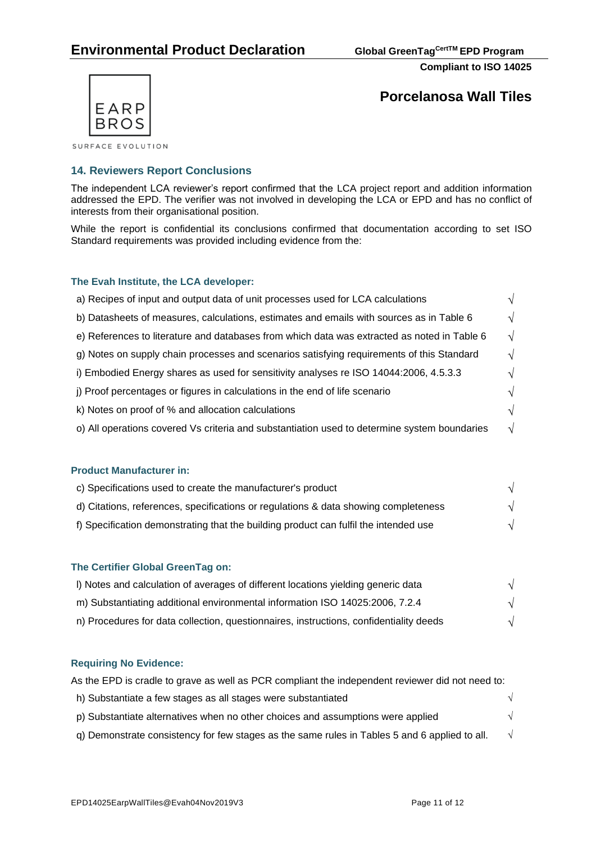

**Porcelanosa Wall Tiles**

SURFACE EVOLUTION

## **14. Reviewers Report Conclusions**

The independent LCA reviewer's report confirmed that the LCA project report and addition information addressed the EPD. The verifier was not involved in developing the LCA or EPD and has no conflict of interests from their organisational position.

While the report is confidential its conclusions confirmed that documentation according to set ISO Standard requirements was provided including evidence from the:

### **The Evah Institute, the LCA developer:**

| a) Recipes of input and output data of unit processes used for LCA calculations              |    |
|----------------------------------------------------------------------------------------------|----|
| b) Datasheets of measures, calculations, estimates and emails with sources as in Table 6     | ٦l |
| e) References to literature and databases from which data was extracted as noted in Table 6  | V  |
| g) Notes on supply chain processes and scenarios satisfying requirements of this Standard    |    |
| i) Embodied Energy shares as used for sensitivity analyses re ISO 14044:2006, 4.5.3.3        |    |
| j) Proof percentages or figures in calculations in the end of life scenario                  |    |
| k) Notes on proof of % and allocation calculations                                           |    |
| o) All operations covered Vs criteria and substantiation used to determine system boundaries | V  |

### **Product Manufacturer in:**

| c) Specifications used to create the manufacturer's product                          |  |
|--------------------------------------------------------------------------------------|--|
| d) Citations, references, specifications or regulations & data showing completeness  |  |
| f) Specification demonstrating that the building product can fulfil the intended use |  |

### **The Certifier Global GreenTag on:**

| I) Notes and calculation of averages of different locations yielding generic data      |  |
|----------------------------------------------------------------------------------------|--|
| m) Substantiating additional environmental information ISO 14025:2006, 7.2.4           |  |
| n) Procedures for data collection, questionnaires, instructions, confidentiality deeds |  |

### **Requiring No Evidence:**

| As the EPD is cradle to grave as well as PCR compliant the independent reviewer did not need to: |  |  |
|--------------------------------------------------------------------------------------------------|--|--|
| h) Substantiate a few stages as all stages were substantiated                                    |  |  |
| p) Substantiate alternatives when no other choices and assumptions were applied                  |  |  |
| q) Demonstrate consistency for few stages as the same rules in Tables 5 and 6 applied to all.    |  |  |